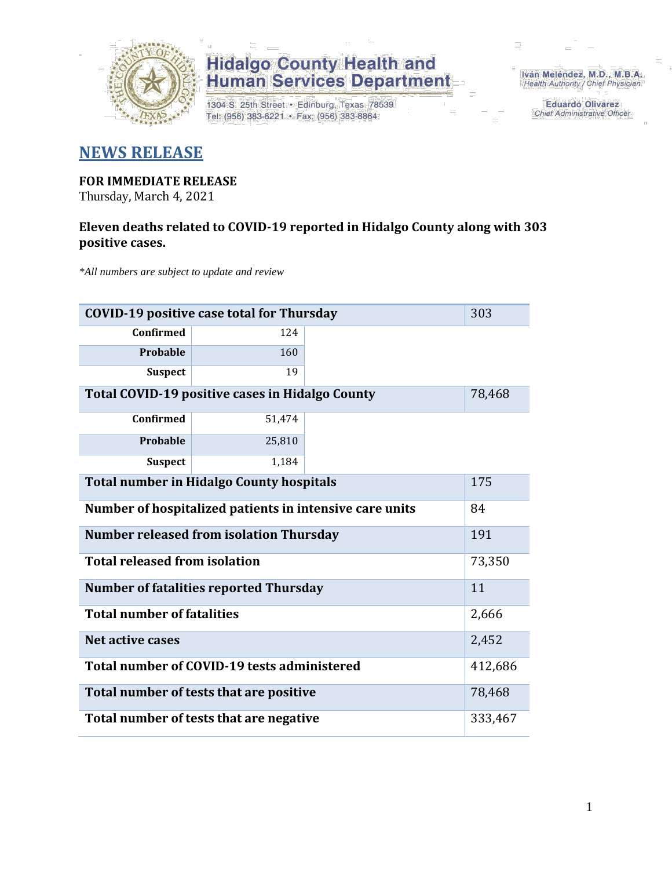

1304 S. 25th Street · Edinburg, Texas 78539 Tel: (956) 383-6221 · Fax: (956) 383-8864

Iván Meléndez, M.D., M.B.A. Health Authority / Chief Physician

> **Eduardo Olivarez** Chief Administrative Officer

### **NEWS RELEASE**

#### **FOR IMMEDIATE RELEASE**

Thursday, March 4, 2021

### **Eleven deaths related to COVID-19 reported in Hidalgo County along with 303 positive cases.**

*\*All numbers are subject to update and review*

| 303<br><b>COVID-19 positive case total for Thursday</b>          |                                                    |  |  |  |  |  |  |  |  |
|------------------------------------------------------------------|----------------------------------------------------|--|--|--|--|--|--|--|--|
| <b>Confirmed</b>                                                 | 124                                                |  |  |  |  |  |  |  |  |
| Probable                                                         | 160                                                |  |  |  |  |  |  |  |  |
| <b>Suspect</b>                                                   | 19                                                 |  |  |  |  |  |  |  |  |
| <b>Total COVID-19 positive cases in Hidalgo County</b><br>78,468 |                                                    |  |  |  |  |  |  |  |  |
| <b>Confirmed</b>                                                 | 51,474                                             |  |  |  |  |  |  |  |  |
| Probable                                                         | 25,810                                             |  |  |  |  |  |  |  |  |
| <b>Suspect</b>                                                   | 1,184                                              |  |  |  |  |  |  |  |  |
| <b>Total number in Hidalgo County hospitals</b><br>175           |                                                    |  |  |  |  |  |  |  |  |
| Number of hospitalized patients in intensive care units<br>84    |                                                    |  |  |  |  |  |  |  |  |
| <b>Number released from isolation Thursday</b><br>191            |                                                    |  |  |  |  |  |  |  |  |
| <b>Total released from isolation</b><br>73,350                   |                                                    |  |  |  |  |  |  |  |  |
| 11<br><b>Number of fatalities reported Thursday</b>              |                                                    |  |  |  |  |  |  |  |  |
| <b>Total number of fatalities</b>                                |                                                    |  |  |  |  |  |  |  |  |
| <b>Net active cases</b>                                          |                                                    |  |  |  |  |  |  |  |  |
| Total number of COVID-19 tests administered<br>412,686           |                                                    |  |  |  |  |  |  |  |  |
| Total number of tests that are positive<br>78,468                |                                                    |  |  |  |  |  |  |  |  |
|                                                                  | Total number of tests that are negative<br>333,467 |  |  |  |  |  |  |  |  |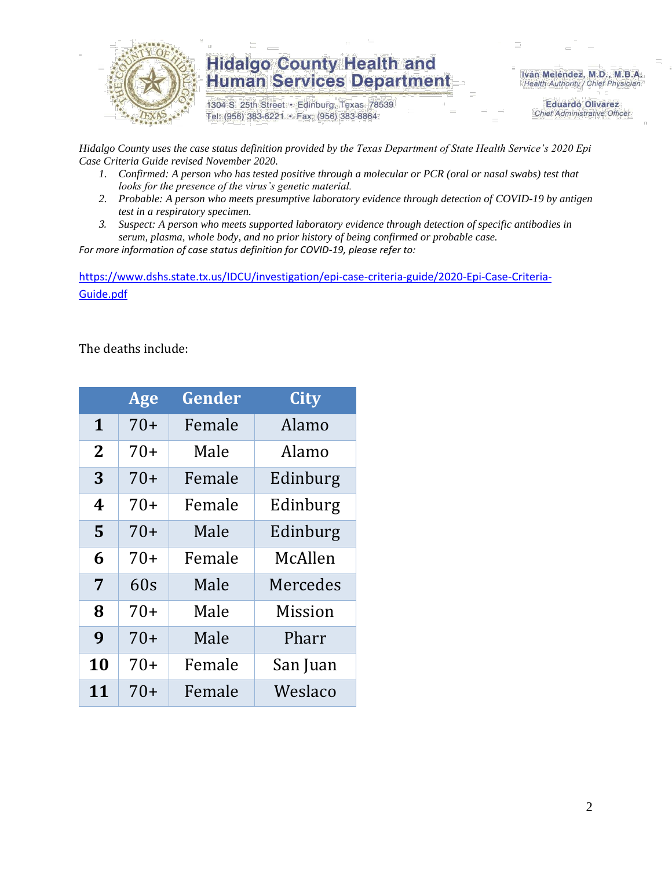

1304 S. 25th Street · Edinburg, Texas 78539 Tel: (956) 383-6221 · Fax: (956) 383-8864

Iván Meléndez, M.D., M.B.A. Health Authority / Chief Physician

> **Eduardo Olivarez Chief Administrative Officer**

*Hidalgo County uses the case status definition provided by the Texas Department of State Health Service's 2020 Epi Case Criteria Guide revised November 2020.*

- *1. Confirmed: A person who has tested positive through a molecular or PCR (oral or nasal swabs) test that looks for the presence of the virus's genetic material.*
- *2. Probable: A person who meets presumptive laboratory evidence through detection of COVID-19 by antigen test in a respiratory specimen.*
- *3. Suspect: A person who meets supported laboratory evidence through detection of specific antibodies in serum, plasma, whole body, and no prior history of being confirmed or probable case.*

*For more information of case status definition for COVID-19, please refer to:*

[https://www.dshs.state.tx.us/IDCU/investigation/epi-case-criteria-guide/2020-Epi-Case-Criteria-](https://www.dshs.state.tx.us/IDCU/investigation/epi-case-criteria-guide/2020-Epi-Case-Criteria-Guide.pdf)[Guide.pdf](https://www.dshs.state.tx.us/IDCU/investigation/epi-case-criteria-guide/2020-Epi-Case-Criteria-Guide.pdf)

The deaths include:

|                | Age   | Gender | <b>City</b>    |
|----------------|-------|--------|----------------|
| $\mathbf{1}$   | $70+$ | Female | Alamo          |
| $\overline{2}$ | 70+   | Male   | Alamo          |
| 3              | $70+$ | Female | Edinburg       |
| 4              | 70+   | Female | Edinburg       |
| 5              | $70+$ | Male   | Edinburg       |
| 6              | $70+$ | Female | McAllen        |
| 7              | 60s   | Male   | Mercedes       |
| 8              | $70+$ | Male   | <b>Mission</b> |
| 9              | $70+$ | Male   | Pharr          |
| 10             | 70+   | Female | San Juan       |
| 11             | 70+   | Female | Weslaco        |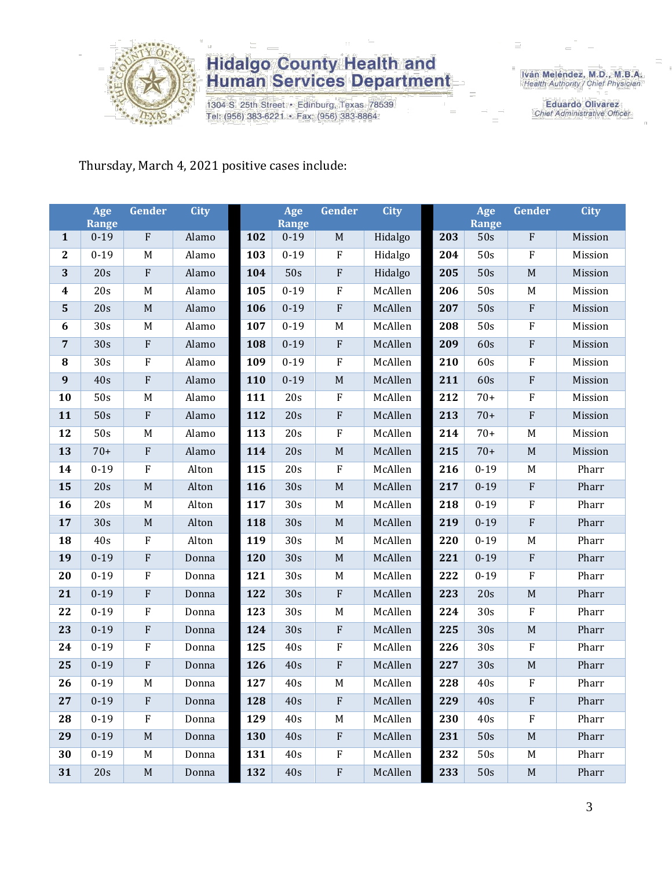

1304 S. 25th Street · Edinburg, Texas 78539 Tel: (956) 383-6221 · Fax: (956) 383-8864

Iván Meléndez, M.D., M.B.A.<br>Health Authority / Chief Physician

**Eduardo Olivarez** Chief Administrative Officer

### Thursday, March 4, 2021 positive cases include:

|                  | Age<br><b>Range</b> | <b>Gender</b> | <b>City</b> |     | Age<br><b>Range</b> | <b>Gender</b> | <b>City</b> |     | Age<br><b>Range</b> | <b>Gender</b>             | <b>City</b> |
|------------------|---------------------|---------------|-------------|-----|---------------------|---------------|-------------|-----|---------------------|---------------------------|-------------|
| $\mathbf{1}$     | $0 - 19$            | $\rm F$       | Alamo       | 102 | $0 - 19$            | $\mathbf M$   | Hidalgo     | 203 | 50s                 | ${\bf F}$                 | Mission     |
| $\mathbf{2}$     | $0 - 19$            | M             | Alamo       | 103 | $0 - 19$            | $\rm F$       | Hidalgo     | 204 | 50s                 | ${\bf F}$                 | Mission     |
| 3                | 20s                 | ${\bf F}$     | Alamo       | 104 | 50s                 | $\rm F$       | Hidalgo     | 205 | 50s                 | $\mathbf M$               | Mission     |
| $\boldsymbol{4}$ | 20s                 | M             | Alamo       | 105 | $0 - 19$            | $\rm F$       | McAllen     | 206 | 50s                 | M                         | Mission     |
| 5                | 20s                 | $\mathbf M$   | Alamo       | 106 | $0 - 19$            | $\rm F$       | McAllen     | 207 | 50s                 | ${\bf F}$                 | Mission     |
| $\boldsymbol{6}$ | 30s                 | M             | Alamo       | 107 | $0 - 19$            | M             | McAllen     | 208 | 50s                 | ${\bf F}$                 | Mission     |
| $\overline{7}$   | 30s                 | $\rm F$       | Alamo       | 108 | $0 - 19$            | ${\bf F}$     | McAllen     | 209 | 60s                 | ${\bf F}$                 | Mission     |
| 8                | 30s                 | ${\bf F}$     | Alamo       | 109 | $0 - 19$            | $\rm F$       | McAllen     | 210 | 60s                 | ${\bf F}$                 | Mission     |
| $\boldsymbol{9}$ | 40s                 | ${\bf F}$     | Alamo       | 110 | $0 - 19$            | $\mathbf M$   | McAllen     | 211 | 60s                 | ${\bf F}$                 | Mission     |
| 10               | 50s                 | M             | Alamo       | 111 | 20s                 | $\rm F$       | McAllen     | 212 | $70+$               | ${\bf F}$                 | Mission     |
| 11               | 50s                 | ${\bf F}$     | Alamo       | 112 | 20s                 | $\rm F$       | McAllen     | 213 | $70+$               | $\rm F$                   | Mission     |
| 12               | 50s                 | M             | Alamo       | 113 | 20s                 | $\rm F$       | McAllen     | 214 | $70+$               | M                         | Mission     |
| 13               | $70+$               | ${\bf F}$     | Alamo       | 114 | 20s                 | $\mathbf M$   | McAllen     | 215 | $70+$               | $\mathbf M$               | Mission     |
| 14               | $0 - 19$            | ${\bf F}$     | Alton       | 115 | 20s                 | $\rm F$       | McAllen     | 216 | $0 - 19$            | M                         | Pharr       |
| 15               | 20s                 | $\mathbf M$   | Alton       | 116 | 30s                 | $\mathbf M$   | McAllen     | 217 | $0 - 19$            | $\rm F$                   | Pharr       |
| 16               | 20s                 | M             | Alton       | 117 | 30s                 | M             | McAllen     | 218 | $0 - 19$            | ${\bf F}$                 | Pharr       |
| 17               | 30s                 | $\mathbf M$   | Alton       | 118 | 30s                 | $\mathbf M$   | McAllen     | 219 | $0 - 19$            | $\rm F$                   | Pharr       |
| 18               | 40s                 | ${\bf F}$     | Alton       | 119 | 30s                 | $\mathbf M$   | McAllen     | 220 | $0 - 19$            | $\mathbf M$               | Pharr       |
| 19               | $0 - 19$            | ${\bf F}$     | Donna       | 120 | 30s                 | $\mathbf M$   | McAllen     | 221 | $0 - 19$            | $\rm F$                   | Pharr       |
| 20               | $0 - 19$            | ${\bf F}$     | Donna       | 121 | 30s                 | M             | McAllen     | 222 | $0 - 19$            | ${\bf F}$                 | Pharr       |
| 21               | $0 - 19$            | $\rm F$       | Donna       | 122 | 30s                 | $\rm F$       | McAllen     | 223 | 20s                 | $\mathbf M$               | Pharr       |
| 22               | $0 - 19$            | ${\bf F}$     | Donna       | 123 | 30s                 | M             | McAllen     | 224 | 30s                 | F                         | Pharr       |
| 23               | $0 - 19$            | ${\bf F}$     | Donna       | 124 | 30s                 | $\rm F$       | McAllen     | 225 | 30s                 | $\mathbf M$               | Pharr       |
| 24               | $0 - 19$            | F             | Donna       | 125 | 40s                 | $\rm F$       | McAllen     | 226 | 30s                 | ${\bf F}$                 | Pharr       |
| 25               | $0 - 19$            | ${\bf F}$     | Donna       | 126 | 40s                 | ${\bf F}$     | McAllen     | 227 | 30s                 | $\mathbf M$               | Pharr       |
| 26               | $0 - 19$            | M             | Donna       | 127 | 40s                 | M             | McAllen     | 228 | 40s                 | ${\bf F}$                 | Pharr       |
| 27               | $0 - 19$            | F             | Donna       | 128 | 40s                 | $\mathbf F$   | McAllen     | 229 | 40s                 | F                         | Pharr       |
| 28               | $0 - 19$            | ${\bf F}$     | Donna       | 129 | 40s                 | M             | McAllen     | 230 | 40s                 | $\boldsymbol{\mathrm{F}}$ | Pharr       |
| 29               | $0-19$              | M             | Donna       | 130 | 40s                 | $\rm F$       | McAllen     | 231 | 50s                 | $\mathbf M$               | Pharr       |
| 30               | $0 - 19$            | M             | Donna       | 131 | 40s                 | $\rm F$       | McAllen     | 232 | 50s                 | M                         | Pharr       |
| 31               | 20s                 | $\mathbf M$   | Donna       | 132 | 40s                 | $\rm F$       | McAllen     | 233 | 50s                 | $\mathbf M$               | Pharr       |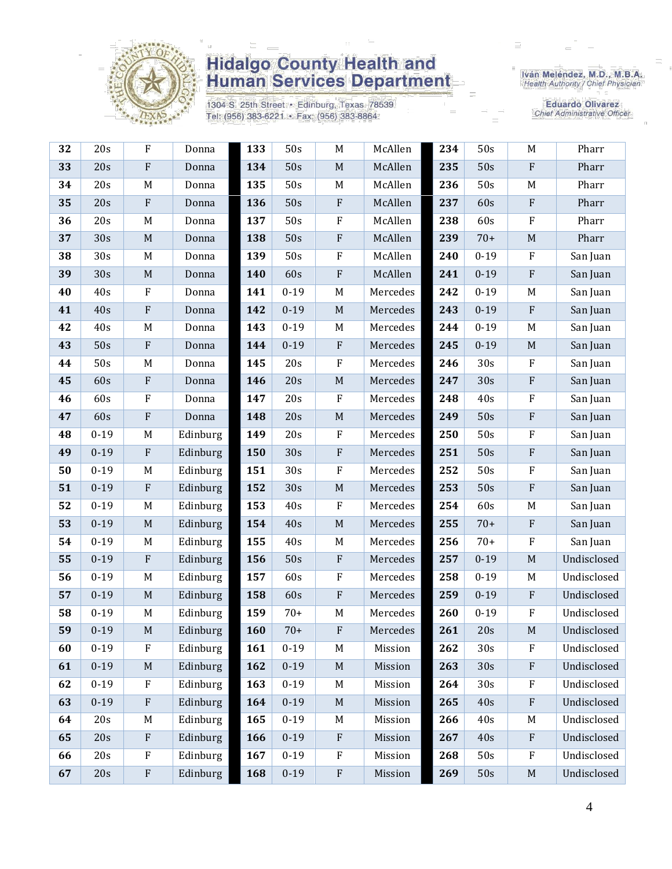

1304 S. 25th Street · Edinburg, Texas 78539 Tel: (956) 383-6221 · Fax: (956) 383-8864

Iván Meléndez, M.D., M.B.A.<br>Health Authority / Chief Physician

Eduardo Olivarez **Chief Administrative Officer** 

| 32 | 20s      | F                         | Donna    | 133 | 50s      | M                         | McAllen  | 234 | 50s             | M                         | Pharr       |
|----|----------|---------------------------|----------|-----|----------|---------------------------|----------|-----|-----------------|---------------------------|-------------|
| 33 | 20s      | ${\bf F}$                 | Donna    | 134 | 50s      | $\mathbf M$               | McAllen  | 235 | 50s             | ${\bf F}$                 | Pharr       |
| 34 | 20s      | M                         | Donna    | 135 | 50s      | $M_{\rm}$                 | McAllen  | 236 | 50s             | M                         | Pharr       |
| 35 | 20s      | $\rm F$                   | Donna    | 136 | 50s      | $\rm F$                   | McAllen  | 237 | 60s             | $\rm F$                   | Pharr       |
| 36 | 20s      | M                         | Donna    | 137 | 50s      | ${\bf F}$                 | McAllen  | 238 | 60s             | $\rm F$                   | Pharr       |
| 37 | 30s      | $\mathbf M$               | Donna    | 138 | 50s      | $\rm F$                   | McAllen  | 239 | $70+$           | $\mathbf M$               | Pharr       |
| 38 | 30s      | M                         | Donna    | 139 | 50s      | $\rm F$                   | McAllen  | 240 | $0 - 19$        | $\mathbf{F}$              | San Juan    |
| 39 | 30s      | $\mathbf M$               | Donna    | 140 | 60s      | ${\bf F}$                 | McAllen  | 241 | $0 - 19$        | $\rm F$                   | San Juan    |
| 40 | 40s      | $\mathbf F$               | Donna    | 141 | $0 - 19$ | $M_{\rm}$                 | Mercedes | 242 | $0 - 19$        | M                         | San Juan    |
| 41 | 40s      | ${\bf F}$                 | Donna    | 142 | $0 - 19$ | $\mathbf M$               | Mercedes | 243 | $0 - 19$        | $\mathbf{F}$              | San Juan    |
| 42 | 40s      | M                         | Donna    | 143 | $0 - 19$ | M                         | Mercedes | 244 | $0 - 19$        | M                         | San Juan    |
| 43 | 50s      | $\mathbf F$               | Donna    | 144 | $0 - 19$ | ${\bf F}$                 | Mercedes | 245 | $0 - 19$        | $\mathbf M$               | San Juan    |
| 44 | 50s      | $\mathbf M$               | Donna    | 145 | 20s      | $\rm F$                   | Mercedes | 246 | 30s             | $\rm F$                   | San Juan    |
| 45 | 60s      | $\rm F$                   | Donna    | 146 | 20s      | $\mathbf M$               | Mercedes | 247 | 30s             | $\rm F$                   | San Juan    |
| 46 | 60s      | ${\bf F}$                 | Donna    | 147 | 20s      | ${\bf F}$                 | Mercedes | 248 | 40s             | ${\bf F}$                 | San Juan    |
| 47 | 60s      | $\rm F$                   | Donna    | 148 | 20s      | $\mathbf M$               | Mercedes | 249 | 50s             | $\rm F$                   | San Juan    |
| 48 | $0 - 19$ | M                         | Edinburg | 149 | 20s      | $\rm F$                   | Mercedes | 250 | 50s             | $\rm F$                   | San Juan    |
| 49 | $0 - 19$ | $\rm F$                   | Edinburg | 150 | 30s      | ${\bf F}$                 | Mercedes | 251 | 50s             | $\rm F$                   | San Juan    |
| 50 | $0 - 19$ | M                         | Edinburg | 151 | 30s      | ${\bf F}$                 | Mercedes | 252 | 50s             | $\rm F$                   | San Juan    |
| 51 | $0 - 19$ | $\boldsymbol{\mathrm{F}}$ | Edinburg | 152 | 30s      | $\mathbf M$               | Mercedes | 253 | 50s             | ${\bf F}$                 | San Juan    |
| 52 | $0 - 19$ | M                         | Edinburg | 153 | 40s      | $\rm F$                   | Mercedes | 254 | 60s             | M                         | San Juan    |
| 53 | $0 - 19$ | $\mathbf M$               | Edinburg | 154 | 40s      | $\mathbf M$               | Mercedes | 255 | $70+$           | $\rm F$                   | San Juan    |
| 54 | $0 - 19$ | M                         | Edinburg | 155 | 40s      | $M_{\rm}$                 | Mercedes | 256 | $70+$           | $\rm F$                   | San Juan    |
| 55 | $0 - 19$ | $\rm F$                   | Edinburg | 156 | 50s      | ${\bf F}$                 | Mercedes | 257 | $0 - 19$        | $\mathbf M$               | Undisclosed |
| 56 | $0 - 19$ | M                         | Edinburg | 157 | 60s      | ${\bf F}$                 | Mercedes | 258 | $0 - 19$        | M                         | Undisclosed |
| 57 | $0 - 19$ | $\mathbf M$               | Edinburg | 158 | 60s      | ${\bf F}$                 | Mercedes | 259 | $0 - 19$        | $\boldsymbol{\mathrm{F}}$ | Undisclosed |
| 58 | $0 - 19$ | M                         | Edinburg | 159 | $70+$    | $\mathbf M$               | Mercedes | 260 | $0 - 19$        | F                         | Undisclosed |
| 59 | $0 - 19$ | M                         | Edinburg | 160 | $70+$    | F                         | Mercedes | 261 | 20s             | M                         | Undisclosed |
| 60 | $0 - 19$ | F                         | Edinburg | 161 | $0 - 19$ | M                         | Mission  | 262 | 30 <sub>s</sub> | F                         | Undisclosed |
| 61 | $0 - 19$ | $\mathbf M$               | Edinburg | 162 | $0-19$   | $\mathbf M$               | Mission  | 263 | 30s             | $\rm F$                   | Undisclosed |
| 62 | $0 - 19$ | $\mathbf{F}$              | Edinburg | 163 | $0 - 19$ | M                         | Mission  | 264 | 30s             | $\mathbf{F}$              | Undisclosed |
| 63 | $0 - 19$ | $\rm F$                   | Edinburg | 164 | $0 - 19$ | $\mathbf M$               | Mission  | 265 | 40s             | $\mathbf{F}$              | Undisclosed |
| 64 | 20s      | M                         | Edinburg | 165 | $0 - 19$ | M                         | Mission  | 266 | 40s             | M                         | Undisclosed |
| 65 | 20s      | $\rm F$                   | Edinburg | 166 | $0 - 19$ | $\boldsymbol{\mathrm{F}}$ | Mission  | 267 | 40s             | $\mathbf{F}$              | Undisclosed |
| 66 | 20s      | F                         | Edinburg | 167 | $0 - 19$ | $\rm F$                   | Mission  | 268 | 50s             | $\mathbf F$               | Undisclosed |
| 67 | 20s      | ${\bf F}$                 | Edinburg | 168 | $0 - 19$ | ${\bf F}$                 | Mission  | 269 | 50s             | $\mathbf M$               | Undisclosed |